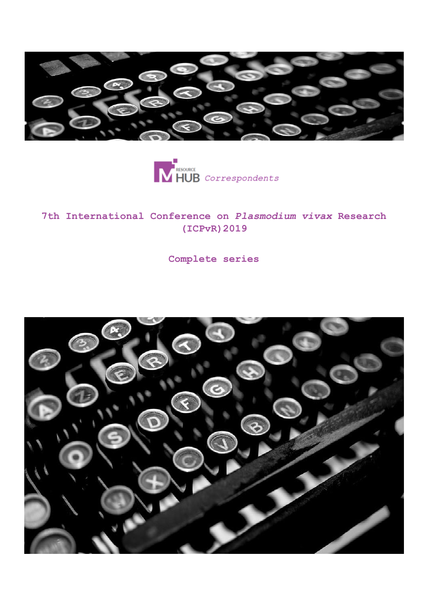



### **7th International Conference on** *Plasmodium vivax* **Research (ICPvR)2019**

**Complete series**

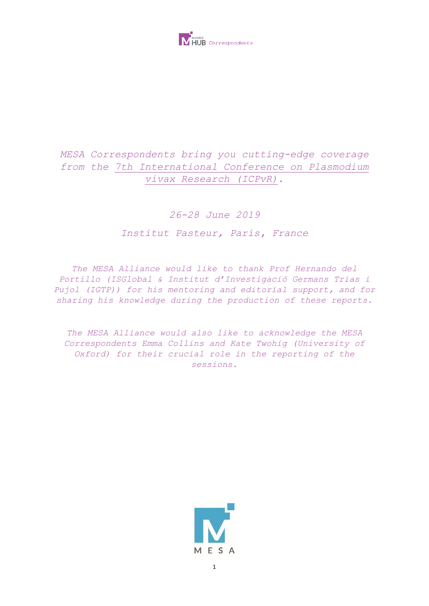

## *MESA Correspondents bring you cutting-edge coverage from the 7th International Conference on Plasmodium vivax Research (ICPvR).*

### *26-28 June 2019*

### *Institut Pasteur, Paris, France*

*The MESA Alliance would like to thank Prof Hernando del Portillo (ISGlobal & Institut d'Investigació Germans Trias i Pujol (IGTP)) for his mentoring and editorial support, and for sharing his knowledge during the production of these reports.*

*The MESA Alliance would also like to acknowledge the MESA Correspondents Emma Collins and Kate Twohig (University of Oxford) for their crucial role in the reporting of the sessions.*

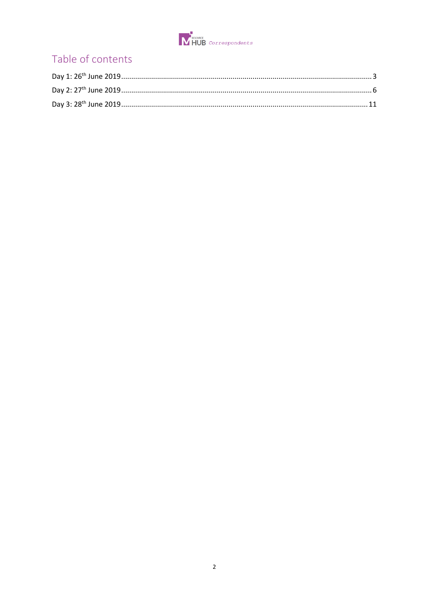

# Table of contents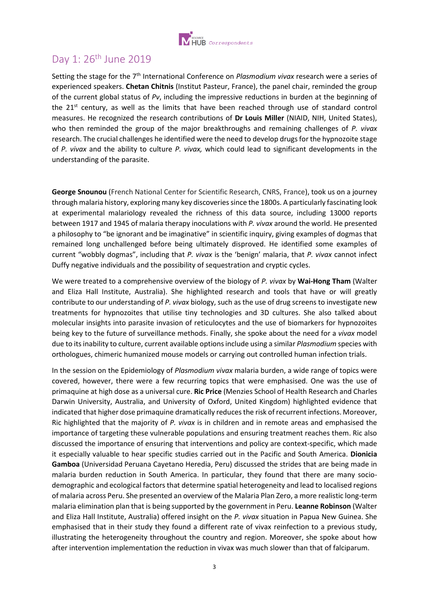

# <span id="page-3-0"></span>Day 1: 26th June 2019

Setting the stage for the 7th International Conference on *Plasmodium vivax* research were a series of experienced speakers. **Chetan Chitnis** (Institut Pasteur, France), the panel chair, reminded the group of the current global status of *Pv*, including the impressive reductions in burden at the beginning of the  $21<sup>st</sup>$  century, as well as the limits that have been reached through use of standard control measures. He recognized the research contributions of **Dr Louis Miller** (NIAID, NIH, United States), who then reminded the group of the major breakthroughs and remaining challenges of *P. vivax* research. The crucial challenges he identified were the need to develop drugs for the hypnozoite stage of *P. vivax* and the ability to culture *P. vivax,* which could lead to significant developments in the understanding of the parasite.

**George Snounou** (French National Center for Scientific Research, CNRS, France), took us on a journey through malaria history, exploring many key discoveries since the 1800s. A particularly fascinating look at experimental malariology revealed the richness of this data source, including 13000 reports between 1917 and 1945 of malaria therapy inoculations with *P. vivax* around the world. He presented a philosophy to "be ignorant and be imaginative" in scientific inquiry, giving examples of dogmas that remained long unchallenged before being ultimately disproved. He identified some examples of current "wobbly dogmas", including that *P. vivax* is the 'benign' malaria, that *P. vivax* cannot infect Duffy negative individuals and the possibility of sequestration and cryptic cycles.

We were treated to a comprehensive overview of the biology of *P. vivax* by **Wai-Hong Tham** (Walter and Eliza Hall Institute, Australia). She highlighted research and tools that have or will greatly contribute to our understanding of *P. vivax* biology, such as the use of drug screens to investigate new treatments for hypnozoites that utilise tiny technologies and 3D cultures. She also talked about molecular insights into parasite invasion of reticulocytes and the use of biomarkers for hypnozoites being key to the future of surveillance methods. Finally, she spoke about the need for a *vivax* model due to its inability to culture, current available options include using a similar *Plasmodium* species with orthologues, chimeric humanized mouse models or carrying out controlled human infection trials.

In the session on the Epidemiology of *Plasmodium vivax* malaria burden, a wide range of topics were covered, however, there were a few recurring topics that were emphasised. One was the use of primaquine at high dose as a universal cure. **Ric Price** (Menzies School of Health Research and Charles Darwin University, Australia, and University of Oxford, United Kingdom) highlighted evidence that indicated that higher dose primaquine dramatically reduces the risk of recurrent infections. Moreover, Ric highlighted that the majority of *P. vivax* is in children and in remote areas and emphasised the importance of targeting these vulnerable populations and ensuring treatment reaches them. Ric also discussed the importance of ensuring that interventions and policy are context-specific, which made it especially valuable to hear specific studies carried out in the Pacific and South America. **Dionicia Gamboa** (Universidad Peruana Cayetano Heredia, Peru) discussed the strides that are being made in malaria burden reduction in South America. In particular, they found that there are many sociodemographic and ecological factors that determine spatial heterogeneity and lead to localised regions of malaria across Peru. She presented an overview of the Malaria Plan Zero, a more realistic long-term malaria elimination plan that is being supported by the government in Peru. **Leanne Robinson** (Walter and Eliza Hall Institute, Australia) offered insight on the *P. vivax* situation in Papua New Guinea. She emphasised that in their study they found a different rate of vivax reinfection to a previous study, illustrating the heterogeneity throughout the country and region. Moreover, she spoke about how after intervention implementation the reduction in vivax was much slower than that of falciparum.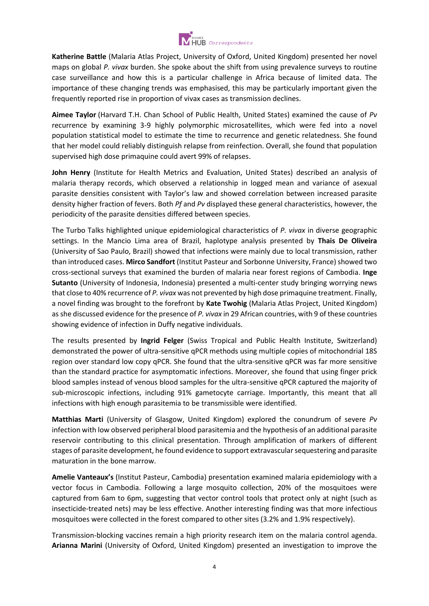

**Katherine Battle** (Malaria Atlas Project, University of Oxford, United Kingdom) presented her novel maps on global *P. vivax* burden. She spoke about the shift from using prevalence surveys to routine case surveillance and how this is a particular challenge in Africa because of limited data. The importance of these changing trends was emphasised, this may be particularly important given the frequently reported rise in proportion of vivax cases as transmission declines.

**Aimee Taylor** (Harvard T.H. Chan School of Public Health, United States) examined the cause of *Pv* recurrence by examining 3-9 highly polymorphic microsatellites, which were fed into a novel population statistical model to estimate the time to recurrence and genetic relatedness. She found that her model could reliably distinguish relapse from reinfection. Overall, she found that population supervised high dose primaquine could avert 99% of relapses.

**John Henry** (Institute for Health Metrics and Evaluation, United States) described an analysis of malaria therapy records, which observed a relationship in logged mean and variance of asexual parasite densities consistent with Taylor's law and showed correlation between increased parasite density higher fraction of fevers. Both *Pf* and *Pv* displayed these general characteristics, however, the periodicity of the parasite densities differed between species.

The Turbo Talks highlighted unique epidemiological characteristics of *P. vivax* in diverse geographic settings. In the Mancio Lima area of Brazil, haplotype analysis presented by **Thais De Oliveira** (University of Sao Paulo, Brazil) showed that infections were mainly due to local transmission, rather than introduced cases. **Mirco Sandfort** (Institut Pasteur and Sorbonne University, France) showed two cross-sectional surveys that examined the burden of malaria near forest regions of Cambodia. **Inge Sutanto** (University of Indonesia, Indonesia) presented a multi-center study bringing worrying news that close to 40% recurrence of *P. vivax* was not prevented by high dose primaquine treatment. Finally, a novel finding was brought to the forefront by **Kate Twohig** (Malaria Atlas Project, United Kingdom) as she discussed evidence for the presence of *P. vivax* in 29 African countries, with 9 of these countries showing evidence of infection in Duffy negative individuals.

The results presented by **Ingrid Felger** (Swiss Tropical and Public Health Institute, Switzerland) demonstrated the power of ultra-sensitive qPCR methods using multiple copies of mitochondrial 18S region over standard low copy qPCR. She found that the ultra-sensitive qPCR was far more sensitive than the standard practice for asymptomatic infections. Moreover, she found that using finger prick blood samples instead of venous blood samples for the ultra-sensitive qPCR captured the majority of sub-microscopic infections, including 91% gametocyte carriage. Importantly, this meant that all infections with high enough parasitemia to be transmissible were identified.

**Matthias Marti** (University of Glasgow, United Kingdom) explored the conundrum of severe *Pv* infection with low observed peripheral blood parasitemia and the hypothesis of an additional parasite reservoir contributing to this clinical presentation. Through amplification of markers of different stages of parasite development, he found evidence to support extravascular sequestering and parasite maturation in the bone marrow.

**Amelie Vanteaux's** (Institut Pasteur, Cambodia) presentation examined malaria epidemiology with a vector focus in Cambodia. Following a large mosquito collection, 20% of the mosquitoes were captured from 6am to 6pm, suggesting that vector control tools that protect only at night (such as insecticide-treated nets) may be less effective. Another interesting finding was that more infectious mosquitoes were collected in the forest compared to other sites (3.2% and 1.9% respectively).

Transmission-blocking vaccines remain a high priority research item on the malaria control agenda. **Arianna Marini** (University of Oxford, United Kingdom) presented an investigation to improve the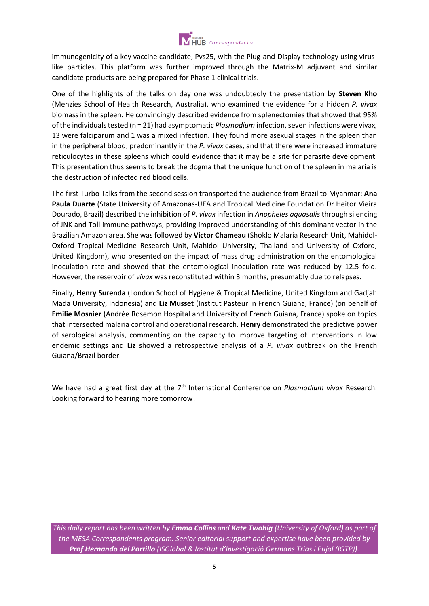

immunogenicity of a key vaccine candidate, Pvs25, with the Plug-and-Display technology using viruslike particles. This platform was further improved through the Matrix-M adjuvant and similar candidate products are being prepared for Phase 1 clinical trials.

One of the highlights of the talks on day one was undoubtedly the presentation by **Steven Kho**  (Menzies School of Health Research, Australia), who examined the evidence for a hidden *P. vivax*  biomass in the spleen. He convincingly described evidence from splenectomies that showed that 95% of the individuals tested (n = 21) had asymptomatic *Plasmodium* infection, seven infections were vivax*,*  13 were falciparum and 1 was a mixed infection. They found more asexual stages in the spleen than in the peripheral blood, predominantly in the *P. vivax* cases, and that there were increased immature reticulocytes in these spleens which could evidence that it may be a site for parasite development. This presentation thus seems to break the dogma that the unique function of the spleen in malaria is the destruction of infected red blood cells.

The first Turbo Talks from the second session transported the audience from Brazil to Myanmar: **Ana Paula Duarte** (State University of Amazonas-UEA and Tropical Medicine Foundation Dr Heitor Vieira Dourado, Brazil) described the inhibition of *P. vivax* infection in *Anopheles aquasalis* through silencing of JNK and Toll immune pathways, providing improved understanding of this dominant vector in the Brazilian Amazon area. She was followed by **Victor Chameau** (Shoklo Malaria Research Unit, Mahidol-Oxford Tropical Medicine Research Unit, Mahidol University, Thailand and University of Oxford, United Kingdom), who presented on the impact of mass drug administration on the entomological inoculation rate and showed that the entomological inoculation rate was reduced by 12.5 fold. However, the reservoir of *vivax* was reconstituted within 3 months, presumably due to relapses.

Finally, **Henry Surenda** (London School of Hygiene & Tropical Medicine, United Kingdom and Gadjah Mada University, Indonesia) and **Liz Musset** (Institut Pasteur in French Guiana, France) (on behalf of **Emilie Mosnier** (Andrée Rosemon Hospital and University of French Guiana, France) spoke on topics that intersected malaria control and operational research. **Henry** demonstrated the predictive power of serological analysis, commenting on the capacity to improve targeting of interventions in low endemic settings and **Liz** showed a retrospective analysis of a *P. vivax* outbreak on the French Guiana/Brazil border.

We have had a great first day at the 7<sup>th</sup> International Conference on *Plasmodium vivax* Research. Looking forward to hearing more tomorrow!

*This daily report has been written by Emma Collins and Kate Twohig (University of Oxford) as part of the MESA Correspondents program. Senior editorial support and expertise have been provided by Prof Hernando del Portillo (ISGlobal & Institut d'Investigació Germans Trias i Pujol (IGTP)).*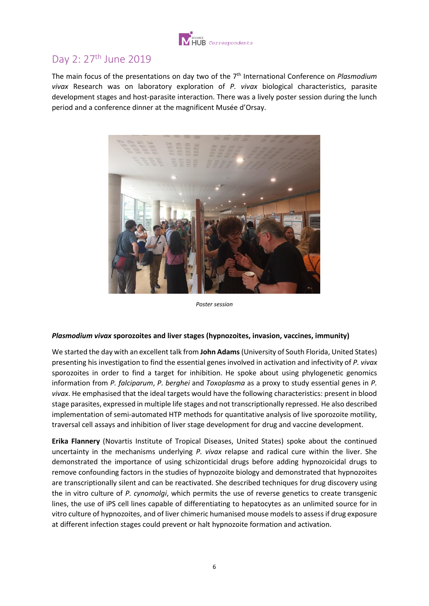

# <span id="page-6-0"></span>Day 2: 27<sup>th</sup> June 2019

The main focus of the presentations on day two of the 7th International Conference on *Plasmodium vivax* Research was on laboratory exploration of *P. vivax* biological characteristics, parasite development stages and host-parasite interaction. There was a lively poster session during the lunch period and a conference dinner at the magnificent Musée d'Orsay.



*Poster session*

#### *Plasmodium vivax* **sporozoites and liver stages (hypnozoites, invasion, vaccines, immunity)**

We started the day with an excellent talk from **John Adams**(University of South Florida, United States) presenting his investigation to find the essential genes involved in activation and infectivity of *P. vivax*  sporozoites in order to find a target for inhibition. He spoke about using phylogenetic genomics information from *P. falciparum*, *P. berghei* and *Toxoplasma* as a proxy to study essential genes in *P. vivax*. He emphasised that the ideal targets would have the following characteristics: present in blood stage parasites, expressed in multiple life stages and not transcriptionally repressed. He also described implementation of semi-automated HTP methods for quantitative analysis of live sporozoite motility, traversal cell assays and inhibition of liver stage development for drug and vaccine development.

**Erika Flannery** (Novartis Institute of Tropical Diseases, United States) spoke about the continued uncertainty in the mechanisms underlying *P. vivax* relapse and radical cure within the liver. She demonstrated the importance of using schizonticidal drugs before adding hypnozoicidal drugs to remove confounding factors in the studies of hypnozoite biology and demonstrated that hypnozoites are transcriptionally silent and can be reactivated. She described techniques for drug discovery using the in vitro culture of *P. cynomolgi*, which permits the use of reverse genetics to create transgenic lines, the use of iPS cell lines capable of differentiating to hepatocytes as an unlimited source for in vitro culture of hypnozoites, and of liver chimeric humanised mouse models to assess if drug exposure at different infection stages could prevent or halt hypnozoite formation and activation.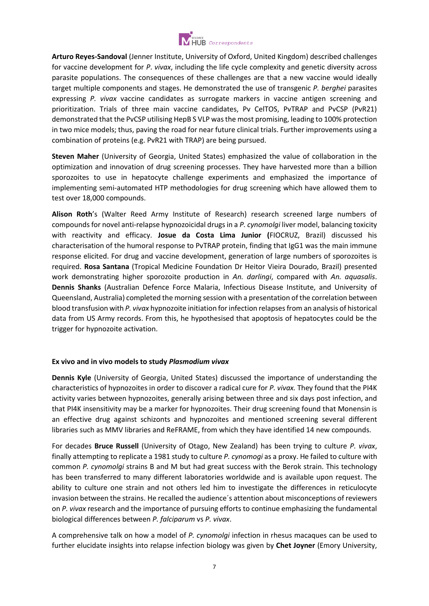

**Arturo Reyes-Sandoval** (Jenner Institute, University of Oxford, United Kingdom) described challenges for vaccine development for *P*. *vivax*, including the life cycle complexity and genetic diversity across parasite populations. The consequences of these challenges are that a new vaccine would ideally target multiple components and stages. He demonstrated the use of transgenic *P. berghei* parasites expressing *P. vivax* vaccine candidates as surrogate markers in vaccine antigen screening and prioritization. Trials of three main vaccine candidates, Pv CelTOS, PvTRAP and PvCSP (PvR21) demonstrated that the PvCSP utilising HepB S VLP was the most promising, leading to 100% protection in two mice models; thus, paving the road for near future clinical trials. Further improvements using a combination of proteins (e.g. PvR21 with TRAP) are being pursued.

**Steven Maher** (University of Georgia, United States) emphasized the value of collaboration in the optimization and innovation of drug screening processes. They have harvested more than a billion sporozoites to use in hepatocyte challenge experiments and emphasized the importance of implementing semi-automated HTP methodologies for drug screening which have allowed them to test over 18,000 compounds.

**Alison Roth**'s (Walter Reed Army Institute of Research) research screened large numbers of compounds for novel anti-relapse hypnozoicidal drugs in a *P. cynomolgi* liver model, balancing toxicity with reactivity and efficacy. **Josue da Costa Lima Junior (**FIOCRUZ, Brazil) discussed his characterisation of the humoral response to PvTRAP protein, finding that IgG1 was the main immune response elicited. For drug and vaccine development, generation of large numbers of sporozoites is required. **Rosa Santana** (Tropical Medicine Foundation Dr Heitor Vieira Dourado, Brazil) presented work demonstrating higher sporozoite production in *An. darlingi*, compared with *An. aquasalis*. **Dennis Shanks** (Australian Defence Force Malaria, Infectious Disease Institute, and University of Queensland, Australia) completed the morning session with a presentation of the correlation between blood transfusion with *P. vivax* hypnozoite initiation for infection relapses from an analysis of historical data from US Army records. From this, he hypothesised that apoptosis of hepatocytes could be the trigger for hypnozoite activation.

#### **Ex vivo and in vivo models to study** *Plasmodium vivax*

**Dennis Kyle** (University of Georgia, United States) discussed the importance of understanding the characteristics of hypnozoites in order to discover a radical cure for *P. vivax.* They found that the PI4K activity varies between hypnozoites, generally arising between three and six days post infection, and that PI4K insensitivity may be a marker for hypnozoites. Their drug screening found that Monensin is an effective drug against schizonts and hypnozoites and mentioned screening several different libraries such as MMV libraries and ReFRAME, from which they have identified 14 new compounds.

For decades **Bruce Russell** (University of Otago, New Zealand) has been trying to culture *P. vivax*, finally attempting to replicate a 1981 study to culture *P. cynomogi* as a proxy. He failed to culture with common *P. cynomolgi* strains B and M but had great success with the Berok strain. This technology has been transferred to many different laboratories worldwide and is available upon request. The ability to culture one strain and not others led him to investigate the differences in reticulocyte invasion between the strains. He recalled the audience´s attention about misconceptions of reviewers on *P. vivax* research and the importance of pursuing efforts to continue emphasizing the fundamental biological differences between *P. falciparum* vs *P. vivax*.

A comprehensive talk on how a model of *P. cynomolgi* infection in rhesus macaques can be used to further elucidate insights into relapse infection biology was given by **Chet Joyner** (Emory University,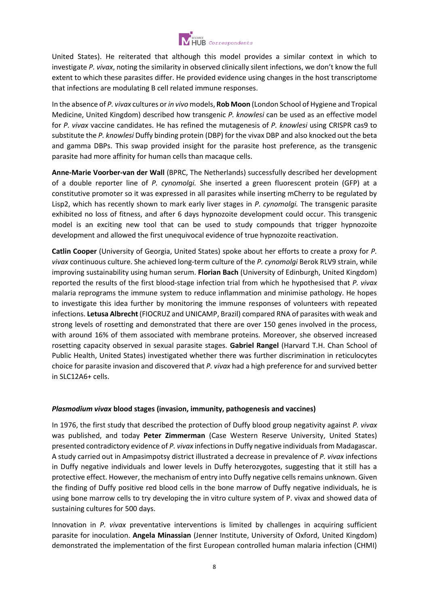

United States). He reiterated that although this model provides a similar context in which to investigate *P. vivax*, noting the similarity in observed clinically silent infections, we don't know the full extent to which these parasites differ. He provided evidence using changes in the host transcriptome that infections are modulating B cell related immune responses.

In the absence of *P. vivax* cultures or *in vivo*models, **Rob Moon** (London School of Hygiene and Tropical Medicine, United Kingdom) described how transgenic *P. knowlesi* can be used as an effective model for *P. vivax* vaccine candidates. He has refined the mutagenesis of *P. knowlesi* using CRISPR cas9 to substitute the *P. knowlesi* Duffy binding protein (DBP) for the vivax DBP and also knocked out the beta and gamma DBPs. This swap provided insight for the parasite host preference, as the transgenic parasite had more affinity for human cells than macaque cells.

**Anne-Marie Voorber-van der Wall** (BPRC, The Netherlands) successfully described her development of a double reporter line of *P. cynomolgi.* She inserted a green fluorescent protein (GFP) at a constitutive promoter so it was expressed in all parasites while inserting mCherry to be regulated by Lisp2, which has recently shown to mark early liver stages in *P. cynomolgi.* The transgenic parasite exhibited no loss of fitness, and after 6 days hypnozoite development could occur. This transgenic model is an exciting new tool that can be used to study compounds that trigger hypnozoite development and allowed the first unequivocal evidence of true hypnozoite reactivation.

**Catlin Cooper** (University of Georgia, United States) spoke about her efforts to create a proxy for *P. vivax* continuous culture. She achieved long-term culture of the *P. cynomolgi* Berok RLV9 strain, while improving sustainability using human serum. **Florian Bach** (University of Edinburgh, United Kingdom) reported the results of the first blood-stage infection trial from which he hypothesised that *P. vivax* malaria reprograms the immune system to reduce inflammation and minimise pathology. He hopes to investigate this idea further by monitoring the immune responses of volunteers with repeated infections. **Letusa Albrecht** (FIOCRUZ and UNICAMP, Brazil) compared RNA of parasites with weak and strong levels of rosetting and demonstrated that there are over 150 genes involved in the process, with around 16% of them associated with membrane proteins. Moreover, she observed increased rosetting capacity observed in sexual parasite stages. **Gabriel Rangel** (Harvard T.H. Chan School of Public Health, United States) investigated whether there was further discrimination in reticulocytes choice for parasite invasion and discovered that *P. vivax* had a high preference for and survived better in SLC12A6+ cells.

#### *Plasmodium vivax* **blood stages (invasion, immunity, pathogenesis and vaccines)**

In 1976, the first study that described the protection of Duffy blood group negativity against *P. vivax*  was published, and today **Peter Zimmerman** (Case Western Reserve University, United States) presented contradictory evidence of *P. vivax* infections in Duffy negative individuals from Madagascar. A study carried out in Ampasimpotsy district illustrated a decrease in prevalence of *P. vivax* infections in Duffy negative individuals and lower levels in Duffy heterozygotes, suggesting that it still has a protective effect. However, the mechanism of entry into Duffy negative cells remains unknown. Given the finding of Duffy positive red blood cells in the bone marrow of Duffy negative individuals, he is using bone marrow cells to try developing the in vitro culture system of P. vivax and showed data of sustaining cultures for 500 days.

Innovation in *P. vivax* preventative interventions is limited by challenges in acquiring sufficient parasite for inoculation. **Angela Minassian** (Jenner Institute, University of Oxford, United Kingdom) demonstrated the implementation of the first European controlled human malaria infection (CHMI)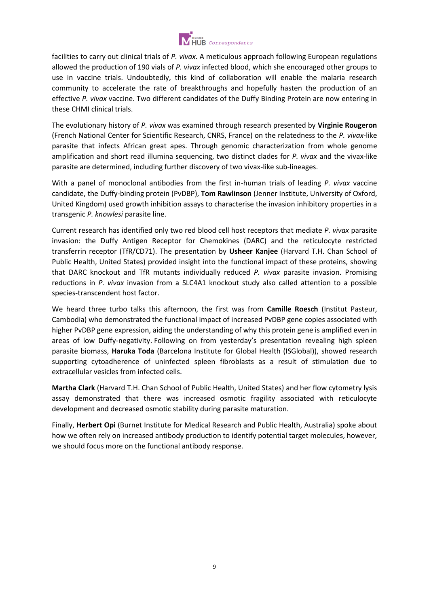

facilities to carry out clinical trials of *P. vivax*. A meticulous approach following European regulations allowed the production of 190 vials of *P. vivax* infected blood, which she encouraged other groups to use in vaccine trials. Undoubtedly, this kind of collaboration will enable the malaria research community to accelerate the rate of breakthroughs and hopefully hasten the production of an effective *P. vivax* vaccine. Two different candidates of the Duffy Binding Protein are now entering in these CHMI clinical trials.

The evolutionary history of *P. vivax* was examined through research presented by **Virginie Rougeron** (French National Center for Scientific Research, CNRS, France) on the relatedness to the *P. vivax*-like parasite that infects African great apes. Through genomic characterization from whole genome amplification and short read illumina sequencing, two distinct clades for *P. vivax* and the vivax-like parasite are determined, including further discovery of two vivax-like sub-lineages.

With a panel of monoclonal antibodies from the first in-human trials of leading *P. vivax* vaccine candidate, the Duffy-binding protein (PvDBP), **Tom Rawlinson** (Jenner Institute, University of Oxford, United Kingdom) used growth inhibition assays to characterise the invasion inhibitory properties in a transgenic *P. knowlesi* parasite line.

Current research has identified only two red blood cell host receptors that mediate *P. vivax* parasite invasion: the Duffy Antigen Receptor for Chemokines (DARC) and the reticulocyte restricted transferrin receptor (TfR/CD71). The presentation by **Usheer Kanjee** (Harvard T.H. Chan School of Public Health, United States) provided insight into the functional impact of these proteins, showing that DARC knockout and TfR mutants individually reduced *P. vivax* parasite invasion. Promising reductions in *P. vivax* invasion from a SLC4A1 knockout study also called attention to a possible species-transcendent host factor.

We heard three turbo talks this afternoon, the first was from **Camille Roesch** (Institut Pasteur, Cambodia) who demonstrated the functional impact of increased PvDBP gene copies associated with higher PvDBP gene expression, aiding the understanding of why this protein gene is amplified even in areas of low Duffy-negativity. Following on from yesterday's presentation revealing high spleen parasite biomass, **Haruka Toda** (Barcelona Institute for Global Health (ISGlobal)), showed research supporting cytoadherence of uninfected spleen fibroblasts as a result of stimulation due to extracellular vesicles from infected cells.

**Martha Clark** (Harvard T.H. Chan School of Public Health, United States) and her flow cytometry lysis assay demonstrated that there was increased osmotic fragility associated with reticulocyte development and decreased osmotic stability during parasite maturation.

Finally, **Herbert Opi** (Burnet Institute for Medical Research and Public Health, Australia) spoke about how we often rely on increased antibody production to identify potential target molecules, however, we should focus more on the functional antibody response.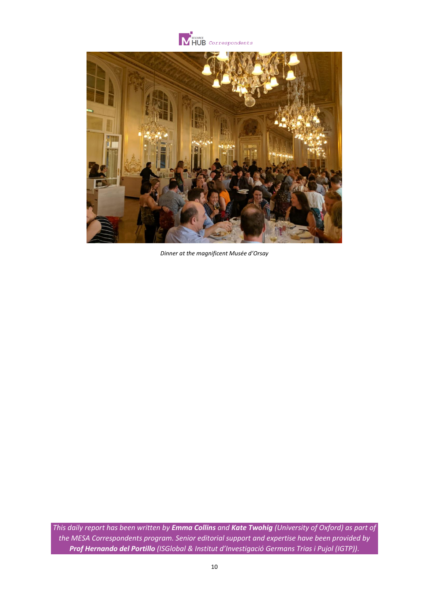



*Dinner at the magnificent Musée d'Orsay*

*This daily report has been written by Emma Collins and Kate Twohig (University of Oxford) as part of the MESA Correspondents program. Senior editorial support and expertise have been provided by Prof Hernando del Portillo (ISGlobal & Institut d'Investigació Germans Trias i Pujol (IGTP)).*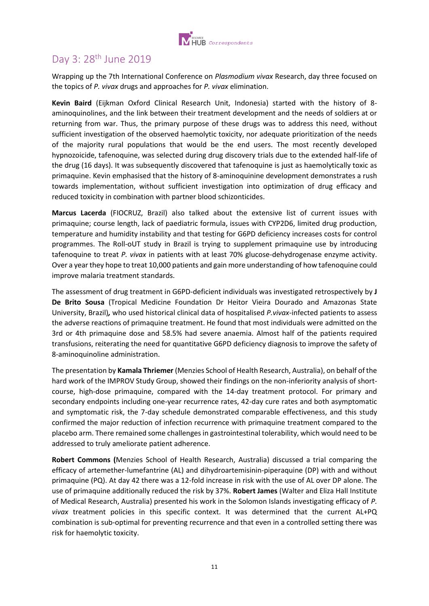

# <span id="page-11-0"></span>Day 3: 28th June 2019

Wrapping up the 7th International Conference on *Plasmodium vivax* Research, day three focused on the topics of *P. vivax* drugs and approaches for *P. vivax* elimination.

**Kevin Baird** (Eijkman Oxford Clinical Research Unit, Indonesia) started with the history of 8 aminoquinolines, and the link between their treatment development and the needs of soldiers at or returning from war. Thus, the primary purpose of these drugs was to address this need, without sufficient investigation of the observed haemolytic toxicity, nor adequate prioritization of the needs of the majority rural populations that would be the end users. The most recently developed hypnozoicide, tafenoquine, was selected during drug discovery trials due to the extended half-life of the drug (16 days). It was subsequently discovered that tafenoquine is just as haemolytically toxic as primaquine. Kevin emphasised that the history of 8-aminoquinine development demonstrates a rush towards implementation, without sufficient investigation into optimization of drug efficacy and reduced toxicity in combination with partner blood schizonticides.

**Marcus Lacerda** (FIOCRUZ, Brazil) also talked about the extensive list of current issues with primaquine; course length, lack of paediatric formula, issues with CYP2D6, limited drug production, temperature and humidity instability and that testing for G6PD deficiency increases costs for control programmes. The Roll-oUT study in Brazil is trying to supplement primaquine use by introducing tafenoquine to treat *P. vivax* in patients with at least 70% glucose-dehydrogenase enzyme activity. Over a year they hope to treat 10,000 patients and gain more understanding of how tafenoquine could improve malaria treatment standards.

The assessment of drug treatment in G6PD-deficient individuals was investigated retrospectively by **J De Brito Sousa** (Tropical Medicine Foundation Dr Heitor Vieira Dourado and Amazonas State University, Brazil)*,* who used historical clinical data of hospitalised *P.vivax*-infected patients to assess the adverse reactions of primaquine treatment. He found that most individuals were admitted on the 3rd or 4th primaquine dose and 58.5% had severe anaemia. Almost half of the patients required transfusions, reiterating the need for quantitative G6PD deficiency diagnosis to improve the safety of 8-aminoquinoline administration.

The presentation by **Kamala Thriemer** (Menzies School of Health Research, Australia), on behalf of the hard work of the IMPROV Study Group, showed their findings on the non-inferiority analysis of shortcourse, high-dose primaquine, compared with the 14-day treatment protocol. For primary and secondary endpoints including one-year recurrence rates, 42-day cure rates and both asymptomatic and symptomatic risk, the 7-day schedule demonstrated comparable effectiveness, and this study confirmed the major reduction of infection recurrence with primaquine treatment compared to the placebo arm. There remained some challenges in gastrointestinal tolerability, which would need to be addressed to truly ameliorate patient adherence.

**Robert Commons (**Menzies School of Health Research, Australia) discussed a trial comparing the efficacy of artemether-lumefantrine (AL) and dihydroartemisinin-piperaquine (DP) with and without primaquine (PQ). At day 42 there was a 12-fold increase in risk with the use of AL over DP alone. The use of primaquine additionally reduced the risk by 37%. **Robert James** (Walter and Eliza Hall Institute of Medical Research, Australia) presented his work in the Solomon Islands investigating efficacy of *P. vivax* treatment policies in this specific context. It was determined that the current AL+PQ combination is sub-optimal for preventing recurrence and that even in a controlled setting there was risk for haemolytic toxicity.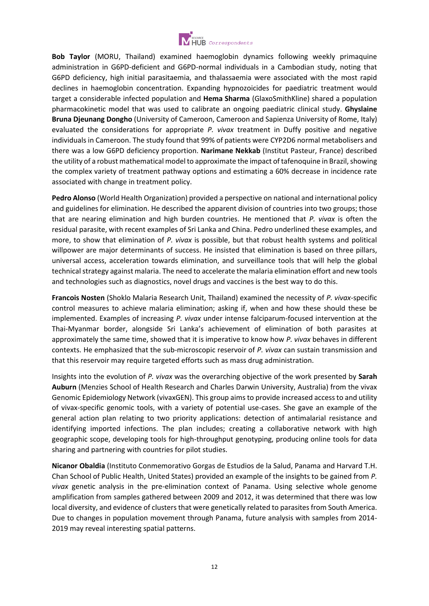

**Bob Taylor** (MORU, Thailand) examined haemoglobin dynamics following weekly primaquine administration in G6PD-deficient and G6PD-normal individuals in a Cambodian study, noting that G6PD deficiency, high initial parasitaemia, and thalassaemia were associated with the most rapid declines in haemoglobin concentration. Expanding hypnozoicides for paediatric treatment would target a considerable infected population and **Hema Sharma** (GlaxoSmithKline) shared a population pharmacokinetic model that was used to calibrate an ongoing paediatric clinical study. **Ghyslaine Bruna Djeunang Dongho** (University of Cameroon, Cameroon and Sapienza University of Rome, Italy) evaluated the considerations for appropriate *P. vivax* treatment in Duffy positive and negative individuals in Cameroon. The study found that 99% of patients were CYP2D6 normal metabolisers and there was a low G6PD deficiency proportion. **Narimane Nekkab** (Institut Pasteur, France) described the utility of a robust mathematical model to approximate the impact of tafenoquine in Brazil, showing the complex variety of treatment pathway options and estimating a 60% decrease in incidence rate associated with change in treatment policy.

**Pedro Alonso** (World Health Organization) provided a perspective on national and international policy and guidelines for elimination. He described the apparent division of countries into two groups; those that are nearing elimination and high burden countries. He mentioned that *P. vivax* is often the residual parasite, with recent examples of Sri Lanka and China. Pedro underlined these examples, and more, to show that elimination of *P. vivax* is possible, but that robust health systems and political willpower are major determinants of success. He insisted that elimination is based on three pillars, universal access, acceleration towards elimination, and surveillance tools that will help the global technical strategy against malaria. The need to accelerate the malaria elimination effort and new tools and technologies such as diagnostics, novel drugs and vaccines is the best way to do this.

**Francois Nosten** (Shoklo Malaria Research Unit, Thailand) examined the necessity of *P. vivax*-specific control measures to achieve malaria elimination; asking if, when and how these should these be implemented. Examples of increasing *P. vivax* under intense falciparum-focused intervention at the Thai-Myanmar border, alongside Sri Lanka's achievement of elimination of both parasites at approximately the same time, showed that it is imperative to know how *P. vivax* behaves in different contexts. He emphasized that the sub-microscopic reservoir of *P. vivax* can sustain transmission and that this reservoir may require targeted efforts such as mass drug administration.

Insights into the evolution of *P. vivax* was the overarching objective of the work presented by **Sarah Auburn** (Menzies School of Health Research and Charles Darwin University, Australia) from the vivax Genomic Epidemiology Network (vivaxGEN). This group aims to provide increased access to and utility of vivax-specific genomic tools, with a variety of potential use-cases. She gave an example of the general action plan relating to two priority applications: detection of antimalarial resistance and identifying imported infections. The plan includes; creating a collaborative network with high geographic scope, developing tools for high-throughput genotyping, producing online tools for data sharing and partnering with countries for pilot studies.

**Nicanor Obaldia** (Instituto Conmemorativo Gorgas de Estudios de la Salud, Panama and Harvard T.H. Chan School of Public Health, United States) provided an example of the insights to be gained from *P. vivax* genetic analysis in the pre-elimination context of Panama. Using selective whole genome amplification from samples gathered between 2009 and 2012, it was determined that there was low local diversity, and evidence of clusters that were genetically related to parasites from South America. Due to changes in population movement through Panama, future analysis with samples from 2014- 2019 may reveal interesting spatial patterns.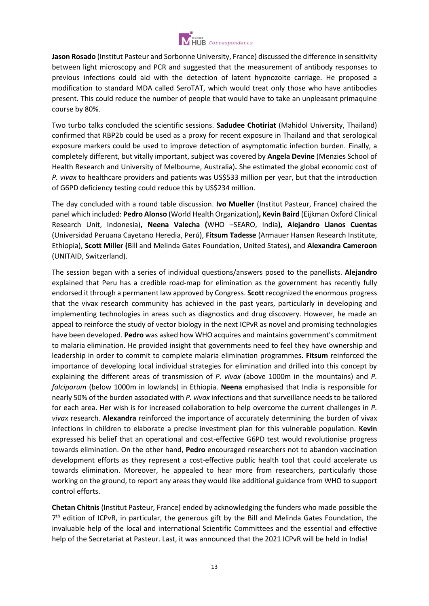

**Jason Rosado** (Institut Pasteur and Sorbonne University, France) discussed the difference in sensitivity between light microscopy and PCR and suggested that the measurement of antibody responses to previous infections could aid with the detection of latent hypnozoite carriage. He proposed a modification to standard MDA called SeroTAT, which would treat only those who have antibodies present. This could reduce the number of people that would have to take an unpleasant primaquine course by 80%.

Two turbo talks concluded the scientific sessions. **Sadudee Chotiriat** (Mahidol University, Thailand) confirmed that RBP2b could be used as a proxy for recent exposure in Thailand and that serological exposure markers could be used to improve detection of asymptomatic infection burden. Finally, a completely different, but vitally important, subject was covered by **Angela Devine** (Menzies School of Health Research and University of Melbourne, Australia)**.** She estimated the global economic cost of *P. vivax* to healthcare providers and patients was US\$533 million per year, but that the introduction of G6PD deficiency testing could reduce this by US\$234 million.

The day concluded with a round table discussion. **Ivo Mueller** (Institut Pasteur, France) chaired the panel which included: **Pedro Alonso** (World Health Organization)**, Kevin Baird** (Eijkman Oxford Clinical Research Unit, Indonesia)**, Neena Valecha (**WHO –SEARO, India**), Alejandro Llanos Cuentas**  (Universidad Peruana Cayetano Heredia, Perú), **Fitsum Tadesse** (Armauer Hansen Research Institute, Ethiopia), **Scott Miller (**Bill and Melinda Gates Foundation, United States), and **Alexandra Cameroon** (UNITAID, Switzerland).

The session began with a series of individual questions/answers posed to the panellists. **Alejandro** explained that Peru has a credible road-map for elimination as the government has recently fully endorsed it through a permanent law approved by Congress. **Scott** recognized the enormous progress that the vivax research community has achieved in the past years, particularly in developing and implementing technologies in areas such as diagnostics and drug discovery. However, he made an appeal to reinforce the study of vector biology in the next ICPvR as novel and promising technologies have been developed. **Pedro** was asked how WHO acquires and maintains government's commitment to malaria elimination. He provided insight that governments need to feel they have ownership and leadership in order to commit to complete malaria elimination programmes**. Fitsum** reinforced the importance of developing local individual strategies for elimination and drilled into this concept by explaining the different areas of transmission of *P. vivax* (above 1000m in the mountains) and *P. falciparum* (below 1000m in lowlands) in Ethiopia. **Neena** emphasised that India is responsible for nearly 50% of the burden associated with *P. vivax* infections and that surveillance needs to be tailored for each area. Her wish is for increased collaboration to help overcome the current challenges in *P. vivax* research. **Alexandra** reinforced the importance of accurately determining the burden of vivax infections in children to elaborate a precise investment plan for this vulnerable population. **Kevin** expressed his belief that an operational and cost-effective G6PD test would revolutionise progress towards elimination. On the other hand, **Pedro** encouraged researchers not to abandon vaccination development efforts as they represent a cost-effective public health tool that could accelerate us towards elimination. Moreover, he appealed to hear more from researchers, particularly those working on the ground, to report any areas they would like additional guidance from WHO to support control efforts.

**Chetan Chitnis** (Institut Pasteur, France) ended by acknowledging the funders who made possible the 7<sup>th</sup> edition of ICPvR, in particular, the generous gift by the Bill and Melinda Gates Foundation, the invaluable help of the local and international Scientific Committees and the essential and effective help of the Secretariat at Pasteur. Last, it was announced that the 2021 ICPvR will be held in India!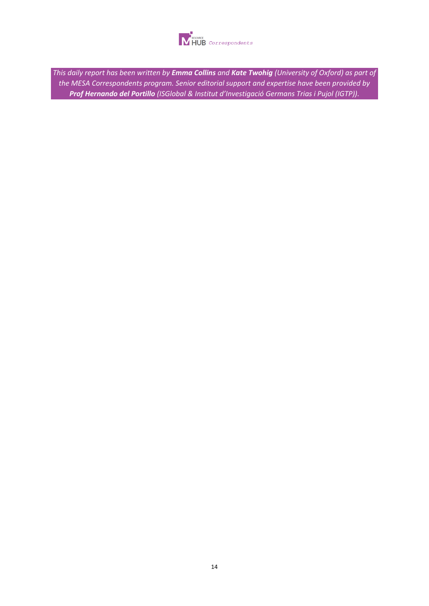

*This daily report has been written by Emma Collins and Kate Twohig (University of Oxford) as part of the MESA Correspondents program. Senior editorial support and expertise have been provided by Prof Hernando del Portillo (ISGlobal & Institut d'Investigació Germans Trias i Pujol (IGTP)).*